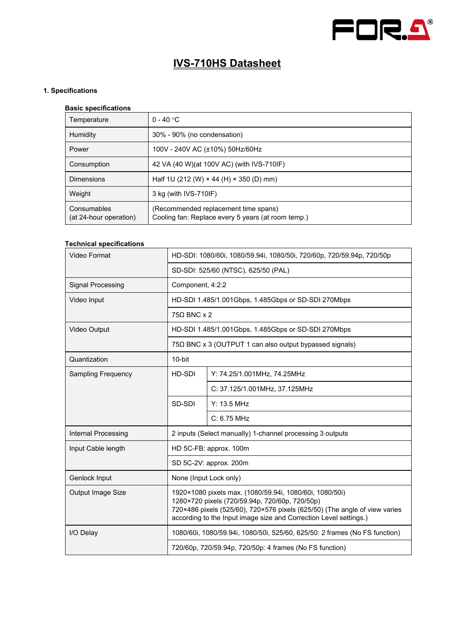

# **IVS-710HS Datasheet**

# **1. Specifications**

## **Basic specifications**

| Temperature                           | $0 - 40$ °C                                                                                |  |
|---------------------------------------|--------------------------------------------------------------------------------------------|--|
| Humidity                              | 30% - 90% (no condensation)                                                                |  |
| Power                                 | 100V - 240V AC (±10%) 50Hz/60Hz                                                            |  |
| Consumption                           | 42 VA (40 W) (at 100V AC) (with IVS-710IF)                                                 |  |
| <b>Dimensions</b>                     | Half 1U (212 (W) $\times$ 44 (H) $\times$ 350 (D) mm)                                      |  |
| Weight                                | 3 kg (with IVS-710IF)                                                                      |  |
| Consumables<br>(at 24-hour operation) | (Recommended replacement time spans)<br>Cooling fan: Replace every 5 years (at room temp.) |  |

### **Technical specifications**

| Video Format              | HD-SDI: 1080/60i, 1080/59.94i, 1080/50i, 720/60p, 720/59.94p, 720/50p                                                                                                                                                                                        |                               |  |  |
|---------------------------|--------------------------------------------------------------------------------------------------------------------------------------------------------------------------------------------------------------------------------------------------------------|-------------------------------|--|--|
|                           | SD-SDI: 525/60 (NTSC), 625/50 (PAL)                                                                                                                                                                                                                          |                               |  |  |
| Signal Processing         | Component, 4:2:2                                                                                                                                                                                                                                             |                               |  |  |
| Video Input               | HD-SDI 1.485/1.001Gbps, 1.485Gbps or SD-SDI 270Mbps                                                                                                                                                                                                          |                               |  |  |
|                           | $75\Omega$ BNC x 2                                                                                                                                                                                                                                           |                               |  |  |
| Video Output              | HD-SDI 1.485/1.001Gbps, 1.485Gbps or SD-SDI 270Mbps                                                                                                                                                                                                          |                               |  |  |
|                           | $75\Omega$ BNC x 3 (OUTPUT 1 can also output bypassed signals)                                                                                                                                                                                               |                               |  |  |
| Quantization              | $10$ -bit                                                                                                                                                                                                                                                    |                               |  |  |
| <b>Sampling Frequency</b> | HD-SDI                                                                                                                                                                                                                                                       | Y: 74.25/1.001MHz, 74.25MHz   |  |  |
|                           |                                                                                                                                                                                                                                                              | C: 37.125/1.001MHz, 37.125MHz |  |  |
|                           | SD-SDI                                                                                                                                                                                                                                                       | Y: 13.5 MHz                   |  |  |
|                           |                                                                                                                                                                                                                                                              | $C: 6.75$ MHz                 |  |  |
| Internal Processing       | 2 inputs (Select manually) 1-channel processing 3 outputs                                                                                                                                                                                                    |                               |  |  |
| Input Cable length        | HD 5C-FB: approx. 100m                                                                                                                                                                                                                                       |                               |  |  |
|                           | SD 5C-2V: approx. 200m                                                                                                                                                                                                                                       |                               |  |  |
| Genlock Input             | None (Input Lock only)                                                                                                                                                                                                                                       |                               |  |  |
| Output Image Size         | 1920×1080 pixels max. (1080/59.94i, 1080/60i, 1080/50i)<br>1280×720 pixels (720/59.94p, 720/60p, 720/50p)<br>720×486 pixels (525/60), 720×576 pixels (625/50) (The angle of view varies<br>according to the Input image size and Correction Level settings.) |                               |  |  |
| I/O Delay                 | 1080/60i, 1080/59.94i, 1080/50i, 525/60, 625/50: 2 frames (No FS function)                                                                                                                                                                                   |                               |  |  |
|                           | 720/60p, 720/59.94p, 720/50p: 4 frames (No FS function)                                                                                                                                                                                                      |                               |  |  |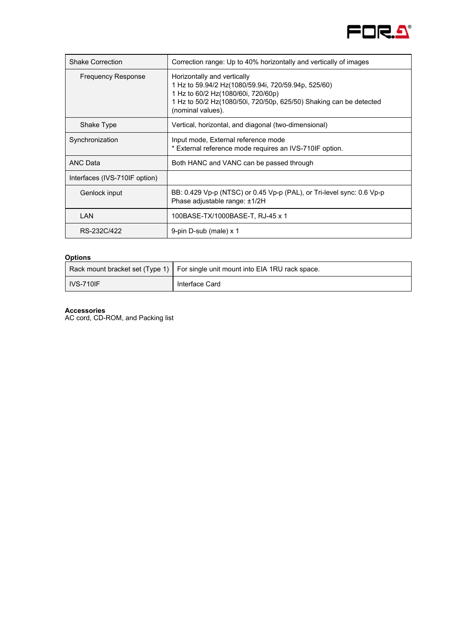

| <b>Shake Correction</b>       | Correction range: Up to 40% horizontally and vertically of images                                                                                                                                                   |
|-------------------------------|---------------------------------------------------------------------------------------------------------------------------------------------------------------------------------------------------------------------|
| <b>Frequency Response</b>     | Horizontally and vertically<br>1 Hz to 59.94/2 Hz(1080/59.94i, 720/59.94p, 525/60)<br>1 Hz to 60/2 Hz(1080/60i, 720/60p)<br>1 Hz to 50/2 Hz(1080/50i, 720/50p, 625/50) Shaking can be detected<br>(nominal values). |
| Shake Type                    | Vertical, horizontal, and diagonal (two-dimensional)                                                                                                                                                                |
| Synchronization               | Input mode, External reference mode<br>* External reference mode requires an IVS-710IF option.                                                                                                                      |
| <b>ANC Data</b>               | Both HANC and VANC can be passed through                                                                                                                                                                            |
| Interfaces (IVS-710IF option) |                                                                                                                                                                                                                     |
| Genlock input                 | BB: 0.429 Vp-p (NTSC) or 0.45 Vp-p (PAL), or Tri-level sync: 0.6 Vp-p<br>Phase adjustable range: ±1/2H                                                                                                              |
| LAN                           | 100BASE-TX/1000BASE-T, RJ-45 x 1                                                                                                                                                                                    |
| RS-232C/422                   | 9-pin D-sub (male) x 1                                                                                                                                                                                              |

## **Options**

|                  | Rack mount bracket set (Type 1)   For single unit mount into EIA 1RU rack space. |
|------------------|----------------------------------------------------------------------------------|
| <b>IVS-710IF</b> | Interface Card                                                                   |

#### **Accessories**

AC cord, CD-ROM, and Packing list